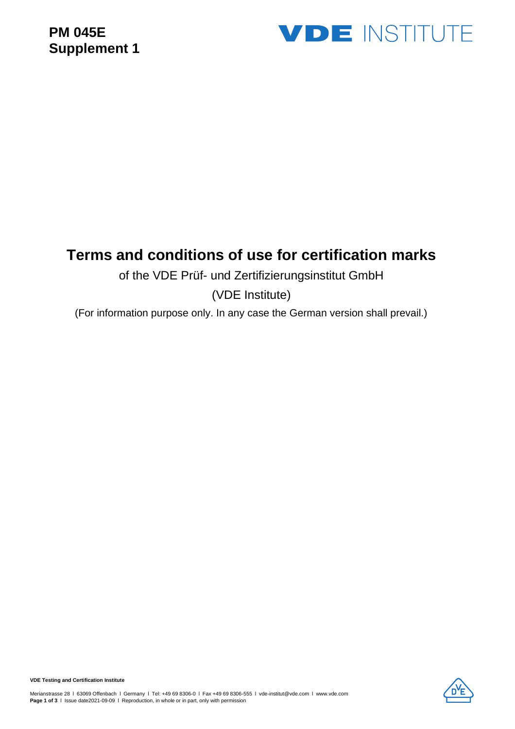## **PM 045E Supplement 1**



## **Terms and conditions of use for certification marks**

#### of the VDE Prüf- und Zertifizierungsinstitut GmbH

(VDE Institute)

(For information purpose only. In any case the German version shall prevail.)

**VDE Testing and Certification Institute**

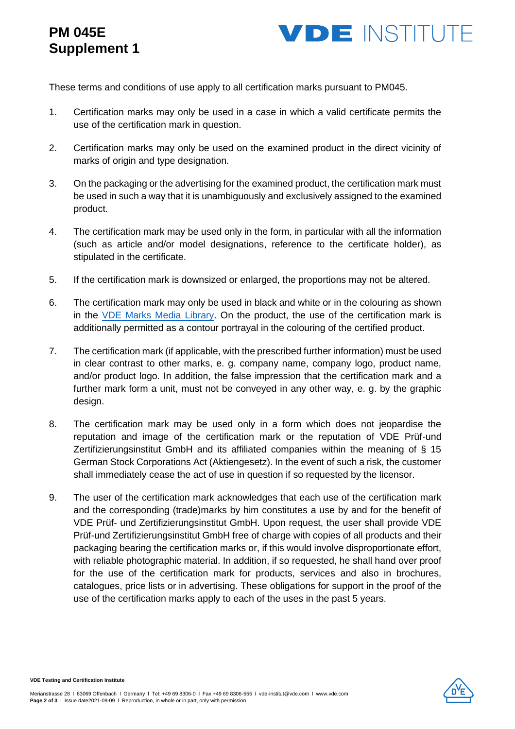# **PM 045E Supplement 1**



These terms and conditions of use apply to all certification marks pursuant to PM045.

- 1. Certification marks may only be used in a case in which a valid certificate permits the use of the certification mark in question.
- 2. Certification marks may only be used on the examined product in the direct vicinity of marks of origin and type designation.
- 3. On the packaging or the advertising for the examined product, the certification mark must be used in such a way that it is unambiguously and exclusively assigned to the examined product.
- 4. The certification mark may be used only in the form, in particular with all the information (such as article and/or model designations, reference to the certificate holder), as stipulated in the certificate.
- 5. If the certification mark is downsized or enlarged, the proportions may not be altered.
- 6. The certification mark may only be used in black and white or in the colouring as shown in the [VDE Marks Media Library.](http://www.vde.com/access-request-vde-marks) On the product, the use of the certification mark is additionally permitted as a contour portrayal in the colouring of the certified product.
- 7. The certification mark (if applicable, with the prescribed further information) must be used in clear contrast to other marks, e. g. company name, company logo, product name, and/or product logo. In addition, the false impression that the certification mark and a further mark form a unit, must not be conveyed in any other way, e. g. by the graphic design.
- 8. The certification mark may be used only in a form which does not jeopardise the reputation and image of the certification mark or the reputation of VDE Prüf-und Zertifizierungsinstitut GmbH and its affiliated companies within the meaning of § 15 German Stock Corporations Act (Aktiengesetz). In the event of such a risk, the customer shall immediately cease the act of use in question if so requested by the licensor.
- 9. The user of the certification mark acknowledges that each use of the certification mark and the corresponding (trade)marks by him constitutes a use by and for the benefit of VDE Prüf- und Zertifizierungsinstitut GmbH. Upon request, the user shall provide VDE Prüf-und Zertifizierungsinstitut GmbH free of charge with copies of all products and their packaging bearing the certification marks or, if this would involve disproportionate effort, with reliable photographic material. In addition, if so requested, he shall hand over proof for the use of the certification mark for products, services and also in brochures, catalogues, price lists or in advertising. These obligations for support in the proof of the use of the certification marks apply to each of the uses in the past 5 years.



**VDE Testing and Certification Institute**